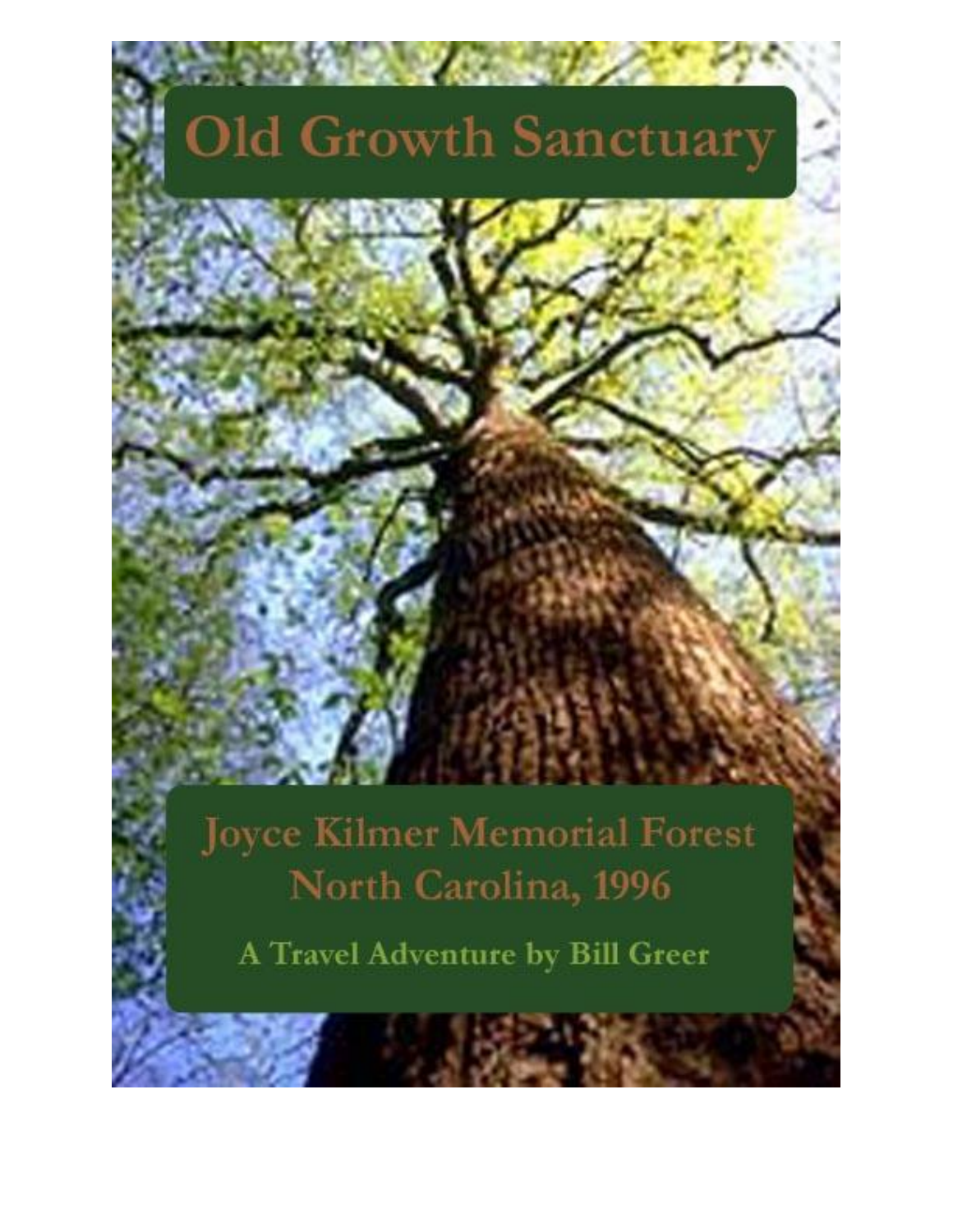# **Old Growth Sanctuary**

**WELLY STATE** 

**Joyce Kilmer Memorial Forest** North Carolina, 1996

A Travel Adventure by Bill Greer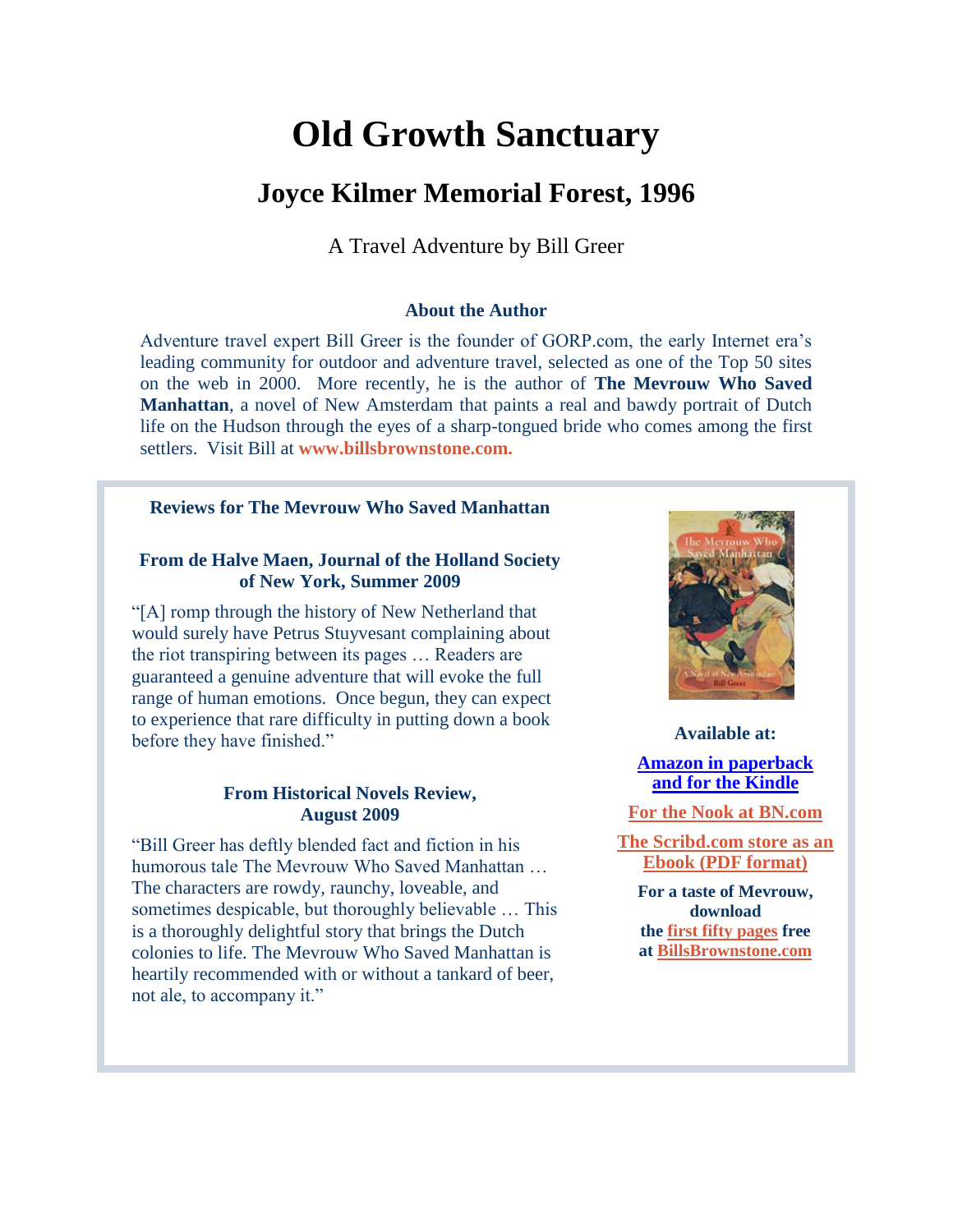## **Old Growth Sanctuary**

### **Joyce Kilmer Memorial Forest, 1996**

A Travel Adventure by Bill Greer

### **About the Author**

Adventure travel expert Bill Greer is the founder of GORP.com, the early Internet era's leading community for outdoor and adventure travel, selected as one of the Top 50 sites on the web in 2000. More recently, he is the author of **The Mevrouw Who Saved Manhattan**, a novel of New Amsterdam that paints a real and bawdy portrait of Dutch life on the Hudson through the eyes of a sharp-tongued bride who comes among the first settlers. Visit Bill at **[www.billsbrownstone.com.](http://www.billsbrownstone.com/)**

### **Reviews for The Mevrouw Who Saved Manhattan**

### **From de Halve Maen, Journal of the Holland Society of New York, Summer 2009**

"[A] romp through the history of New Netherland that would surely have Petrus Stuyvesant complaining about the riot transpiring between its pages … Readers are guaranteed a genuine adventure that will evoke the full range of human emotions. Once begun, they can expect to experience that rare difficulty in putting down a book before they have finished."

### **From Historical Novels Review, August 2009**

"Bill Greer has deftly blended fact and fiction in his humorous tale The Mevrouw Who Saved Manhattan … The characters are rowdy, raunchy, loveable, and sometimes despicable, but thoroughly believable … This is a thoroughly delightful story that brings the Dutch colonies to life. The Mevrouw Who Saved Manhattan is heartily recommended with or without a tankard of beer, not ale, to accompany it."



**Available at: [Amazon in paperback](http://www.amazon.com/Mevrouw-Who-Saved-Manhattan-Amsterdam/dp/1439221782/ref=sr_1_1?ie=UTF8&s=books&qid=1233071214&sr=1-1) [and for the Kindle](http://www.amazon.com/The-Mevrouw-Saved-Manhattan-ebook/dp/B001U88HH4/ref=tmm_kin_title_0?ie=UTF8&m=AG56TWVU5XWC2&qid=1233071214&sr=1-1)**

**[For the Nook at BN.com](http://www.barnesandnoble.com/w/the-mevrouw-who-saved-manhattan-bill-greer/1017817072?ean=2940012572820&itm=2&usri=the%2bmevrouw%2bwho%2bsaved%2bmanhattan)**

**[The Scribd.com store as an](http://www.scribd.com/doc/16592556/The-Mevrouw-Who-Saved-Manhattan) [Ebook \(PDF format\)](http://www.scribd.com/doc/16592556/The-Mevrouw-Who-Saved-Manhattan)**

**For a taste of Mevrouw, download the [first fifty pages](http://www.billsbrownstone.com/mevrouw50pages.pdf) free at [BillsBrownstone.com](http://www.billsbrownstone.com/)**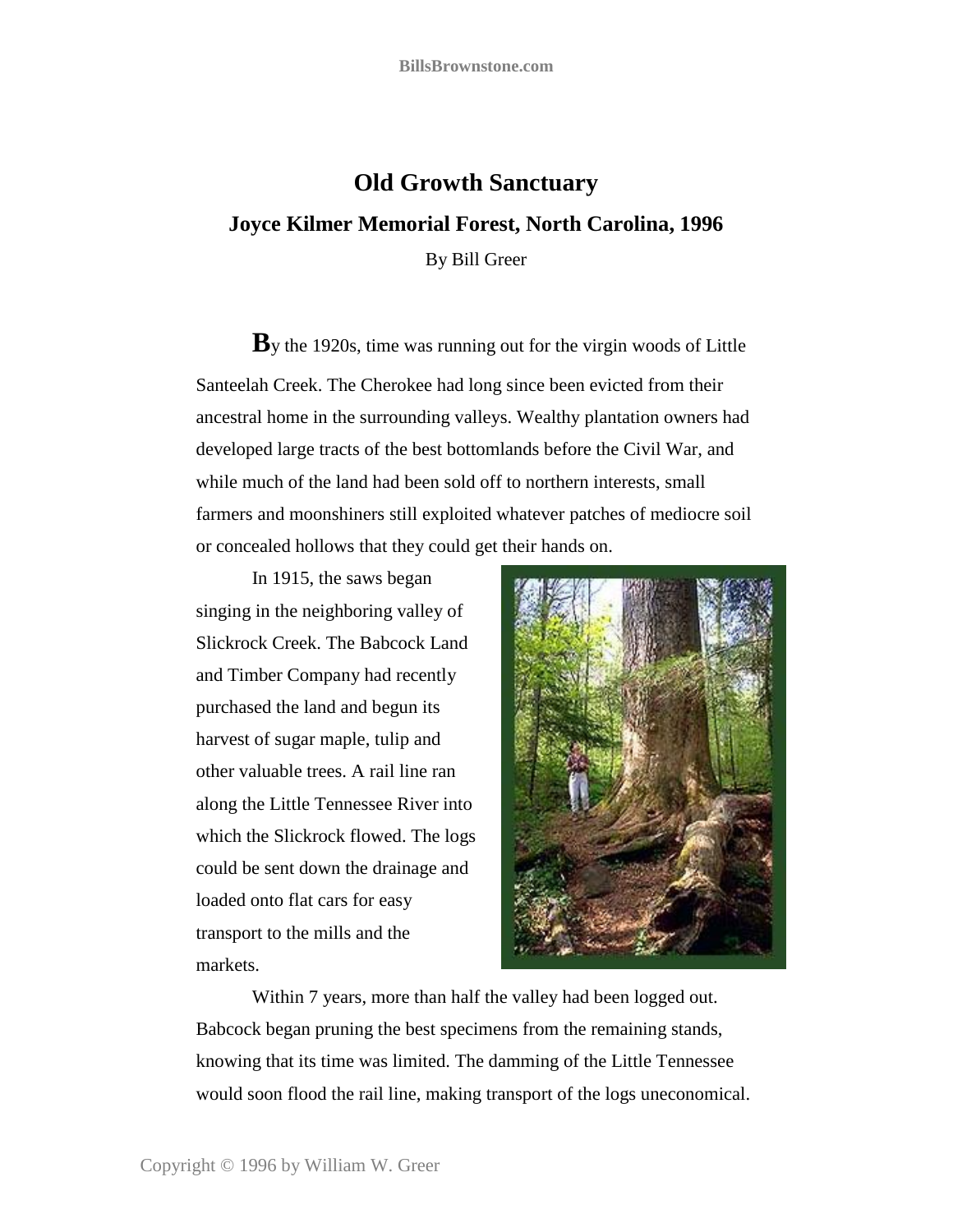### **Old Growth Sanctuary Joyce Kilmer Memorial Forest, North Carolina, 1996** By Bill Greer

**B**y the 1920s, time was running out for the virgin woods of Little Santeelah Creek. The Cherokee had long since been evicted from their ancestral home in the surrounding valleys. Wealthy plantation owners had developed large tracts of the best bottomlands before the Civil War, and while much of the land had been sold off to northern interests, small farmers and moonshiners still exploited whatever patches of mediocre soil or concealed hollows that they could get their hands on.

In 1915, the saws began singing in the neighboring valley of Slickrock Creek. The Babcock Land and Timber Company had recently purchased the land and begun its harvest of sugar maple, tulip and other valuable trees. A rail line ran along the Little Tennessee River into which the Slickrock flowed. The logs could be sent down the drainage and loaded onto flat cars for easy transport to the mills and the markets.



Within 7 years, more than half the valley had been logged out. Babcock began pruning the best specimens from the remaining stands, knowing that its time was limited. The damming of the Little Tennessee would soon flood the rail line, making transport of the logs uneconomical.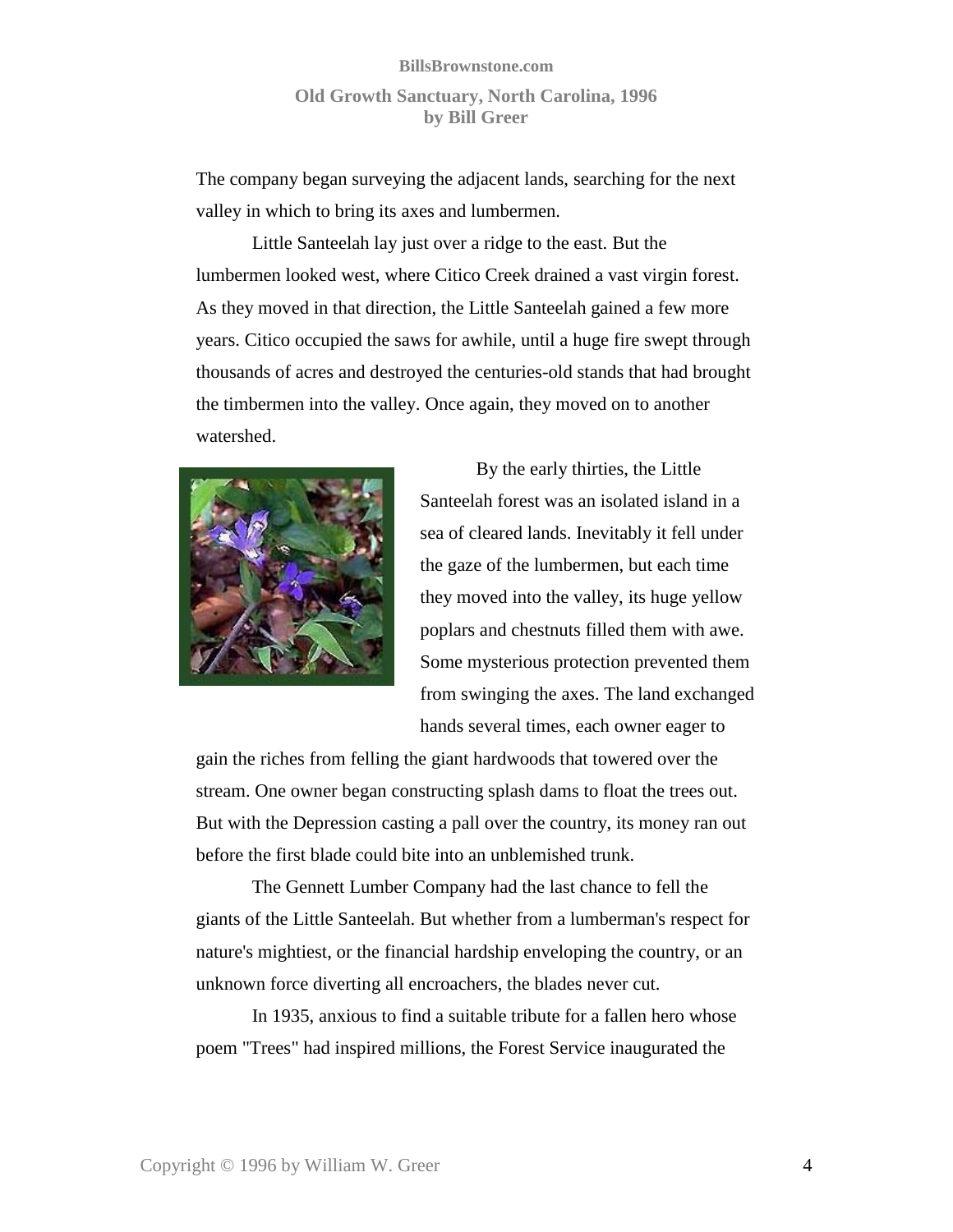### **BillsBrownstone.com Old Growth Sanctuary, North Carolina, 1996 by Bill Greer**

The company began surveying the adjacent lands, searching for the next valley in which to bring its axes and lumbermen.

Little Santeelah lay just over a ridge to the east. But the lumbermen looked west, where Citico Creek drained a vast virgin forest. As they moved in that direction, the Little Santeelah gained a few more years. Citico occupied the saws for awhile, until a huge fire swept through thousands of acres and destroyed the centuries-old stands that had brought the timbermen into the valley. Once again, they moved on to another watershed.



By the early thirties, the Little Santeelah forest was an isolated island in a sea of cleared lands. Inevitably it fell under the gaze of the lumbermen, but each time they moved into the valley, its huge yellow poplars and chestnuts filled them with awe. Some mysterious protection prevented them from swinging the axes. The land exchanged hands several times, each owner eager to

gain the riches from felling the giant hardwoods that towered over the stream. One owner began constructing splash dams to float the trees out. But with the Depression casting a pall over the country, its money ran out before the first blade could bite into an unblemished trunk.

The Gennett Lumber Company had the last chance to fell the giants of the Little Santeelah. But whether from a lumberman's respect for nature's mightiest, or the financial hardship enveloping the country, or an unknown force diverting all encroachers, the blades never cut.

In 1935, anxious to find a suitable tribute for a fallen hero whose poem "Trees" had inspired millions, the Forest Service inaugurated the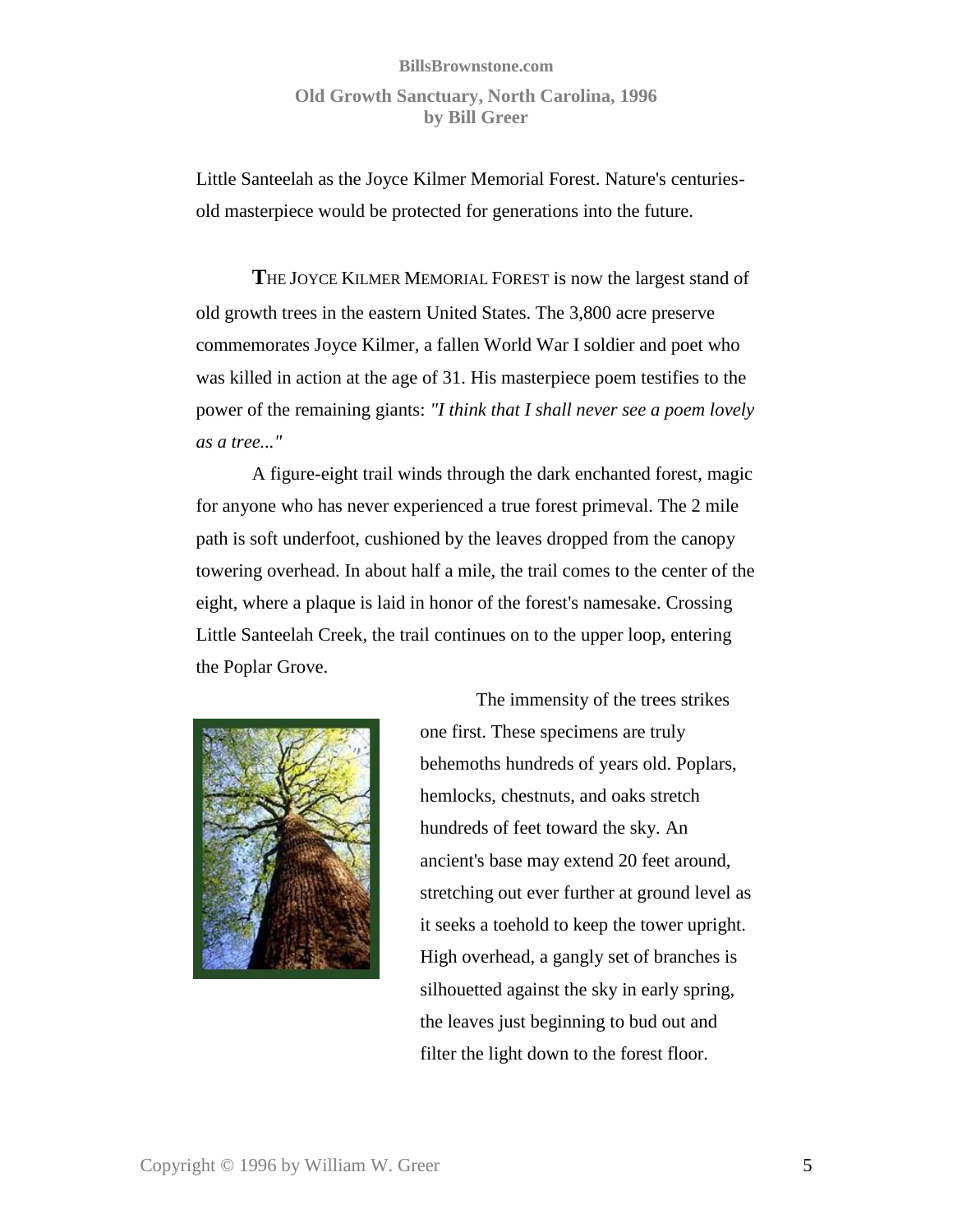### **BillsBrownstone.com Old Growth Sanctuary, North Carolina, 1996 by Bill Greer**

Little Santeelah as the Joyce Kilmer Memorial Forest. Nature's centuriesold masterpiece would be protected for generations into the future.

**T**HE JOYCE KILMER MEMORIAL FOREST is now the largest stand of old growth trees in the eastern United States. The 3,800 acre preserve commemorates Joyce Kilmer, a fallen World War I soldier and poet who was killed in action at the age of 31. His masterpiece poem testifies to the power of the remaining giants: *"I think that I shall never see a poem lovely as a tree..."*

A figure-eight trail winds through the dark enchanted forest, magic for anyone who has never experienced a true forest primeval. The 2 mile path is soft underfoot, cushioned by the leaves dropped from the canopy towering overhead. In about half a mile, the trail comes to the center of the eight, where a plaque is laid in honor of the forest's namesake. Crossing Little Santeelah Creek, the trail continues on to the upper loop, entering the Poplar Grove.



The immensity of the trees strikes one first. These specimens are truly behemoths hundreds of years old. Poplars, hemlocks, chestnuts, and oaks stretch hundreds of feet toward the sky. An ancient's base may extend 20 feet around, stretching out ever further at ground level as it seeks a toehold to keep the tower upright. High overhead, a gangly set of branches is silhouetted against the sky in early spring, the leaves just beginning to bud out and filter the light down to the forest floor.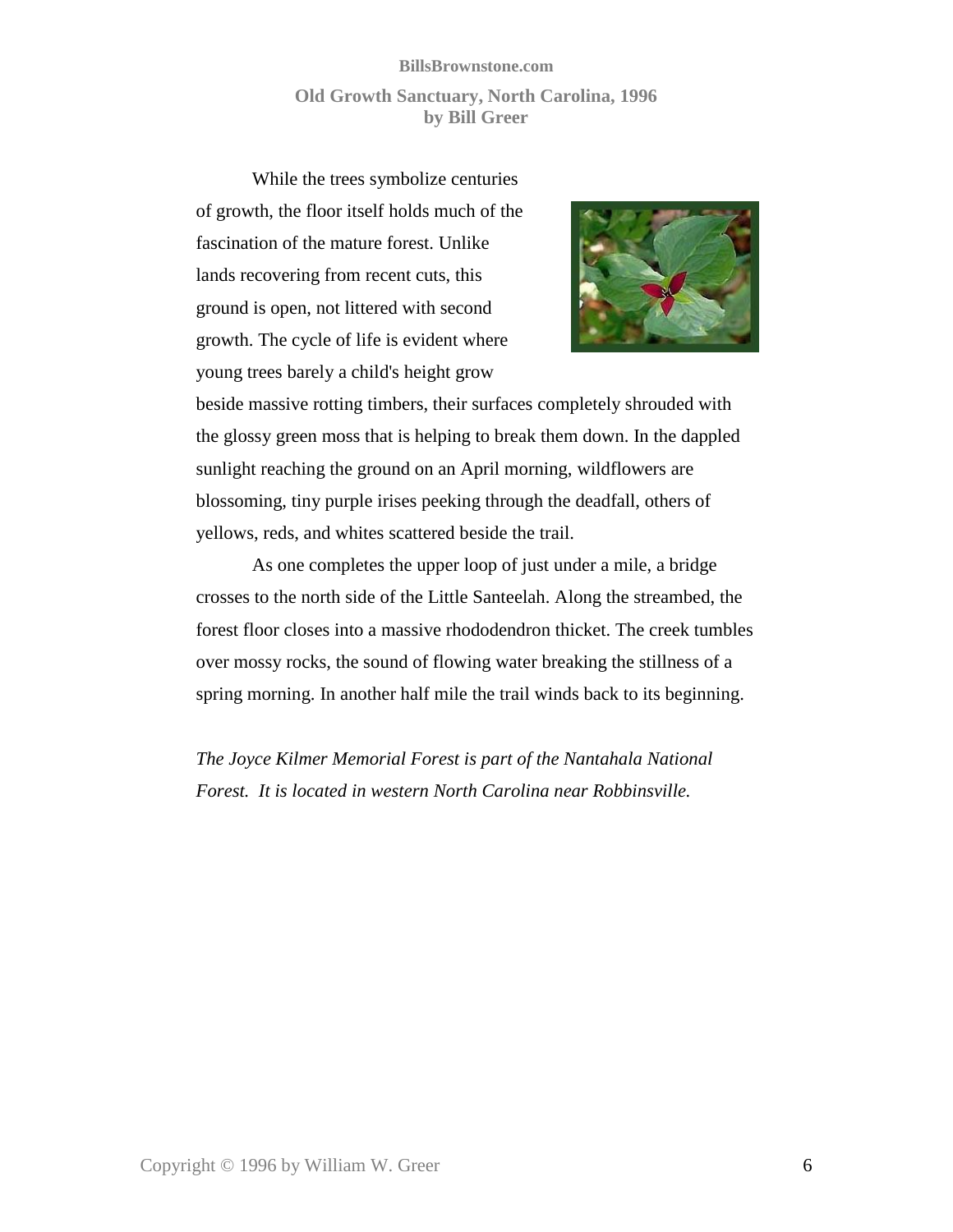### **BillsBrownstone.com Old Growth Sanctuary, North Carolina, 1996 by Bill Greer**

While the trees symbolize centuries of growth, the floor itself holds much of the fascination of the mature forest. Unlike lands recovering from recent cuts, this ground is open, not littered with second growth. The cycle of life is evident where young trees barely a child's height grow



beside massive rotting timbers, their surfaces completely shrouded with the glossy green moss that is helping to break them down. In the dappled sunlight reaching the ground on an April morning, wildflowers are blossoming, tiny purple irises peeking through the deadfall, others of yellows, reds, and whites scattered beside the trail.

As one completes the upper loop of just under a mile, a bridge crosses to the north side of the Little Santeelah. Along the streambed, the forest floor closes into a massive rhododendron thicket. The creek tumbles over mossy rocks, the sound of flowing water breaking the stillness of a spring morning. In another half mile the trail winds back to its beginning.

*The Joyce Kilmer Memorial Forest is part of the Nantahala National Forest. It is located in western North Carolina near Robbinsville.*